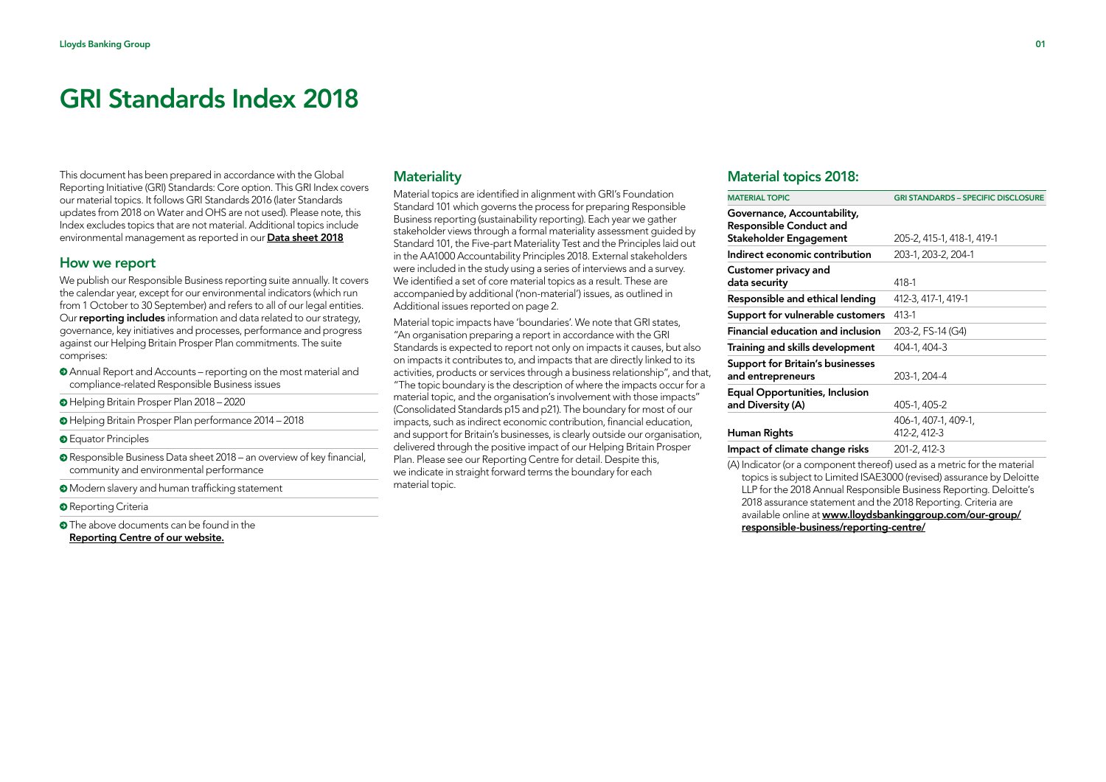This document has been prepared in accordance with the Global Reporting Initiative (GRI) Standards: Core option. This GRI Index covers our material topics. It follows GRI Standards 2016 (later Standards updates from 2018 on Water and OHS are not used). Please note, this Index excludes topics that are not material. Additional topics include environmental management as reported in our [Data sheet](https://www.lloydsbankinggroup.com/globalassets/documents/our-group/responsibility/policies-and-codes/2019-updates/100160_lbg_resbus_datasheet2018_190312.pdf) 2018

#### How we report

We publish our Responsible Business reporting suite annually. It covers the calendar year, except for our environmental indicators (which run from 1 October to 30 September) and refers to all of our legal entities. Our reporting includes information and data related to our strategy, governance, key initiatives and processes, performance and progress against our Helping Britain Prosper Plan commitments. The suite comprises:

- Annual Report and Accounts reporting on the most material and compliance-related Responsible Business issues
- Helping Britain Prosper Plan 2018 2020
- Helping Britain Prosper Plan performance 2014 2018
- **O** Equator Principles
- Responsible Business Data sheet 2018 an overview of key financial, community and environmental performance
- Modern slavery and human trafficking statement
- **O** Reporting Criteria
- **O** The above documents can be found in the [Reporting Centre of our website](https://www.lloydsbankinggroup.com/our-group/responsible-business/reporting-centre/).

#### **Materiality**

Material topics are identified in alignment with GRI's Foundation Standard 101 which governs the process for preparing Responsible Business reporting (sustainability reporting). Each year we gather stakeholder views through a formal materiality assessment guided by Standard 101, the Five-part Materiality Test and the Principles laid out in the AA1000 Accountability Principles 2018. External stakeholders were included in the study using a series of interviews and a survey. We identified a set of core material topics as a result. These are accompanied by additional ('non-material') issues, as outlined in Additional issues reported on page 2.

Material topic impacts have 'boundaries'. We note that GRI states, "An organisation preparing a report in accordance with the GRI Standards is expected to report not only on impacts it causes, but also on impacts it contributes to, and impacts that are directly linked to its activities, products or services through a business relationship", and that, "The topic boundary is the description of where the impacts occur for a material topic, and the organisation's involvement with those impacts" (Consolidated Standards p15 and p21). The boundary for most of our impacts, such as indirect economic contribution, financial education, and support for Britain's businesses, is clearly outside our organisation, delivered through the positive impact of our Helping Britain Prosper Plan. Please see our Reporting Centre for detail. Despite this, we indicate in straight forward terms the boundary for each material topic.

# Material topics 2018:

| <b>MATERIAL TOPIC</b>                                         | <b>GRI STANDARDS - SPECIFIC DISCLOSURE</b> |
|---------------------------------------------------------------|--------------------------------------------|
| Governance, Accountability,<br><b>Responsible Conduct and</b> |                                            |
| Stakeholder Engagement                                        | 205-2, 415-1, 418-1, 419-1                 |
| Indirect economic contribution                                | 203-1, 203-2, 204-1                        |
| Customer privacy and<br>data security                         | 418-1                                      |
| Responsible and ethical lending                               | 412-3, 417-1, 419-1                        |
| Support for vulnerable customers                              | 413-1                                      |
| Financial education and inclusion                             | 203-2, FS-14 (G4)                          |
| Training and skills development                               | 404-1, 404-3                               |
| <b>Support for Britain's businesses</b>                       |                                            |
| and entrepreneurs                                             | 203-1, 204-4                               |
| Equal Opportunities, Inclusion                                |                                            |
| and Diversity (A)                                             | 405-1, 405-2                               |
|                                                               | 406-1, 407-1, 409-1,                       |
| Human Rights                                                  | 412-2, 412-3                               |
| Impact of climate change risks                                | 201-2, 412-3                               |
|                                                               |                                            |

(A) Indicator (or a component thereof) used as a metric for the material topics is subject to Limited ISAE3000 (revised) assurance by Deloitte LLP for the 2018 Annual Responsible Business Reporting. Deloitte's 2018 assurance statement and the 2018 Reporting. Criteria are available online at [www.lloydsbankinggroup.com/our-group/](http://www.lloydsbankinggroup.com/our-group/responsible-business/reporting-centre/) [responsible-business/reporting-centre/](http://www.lloydsbankinggroup.com/our-group/responsible-business/reporting-centre/)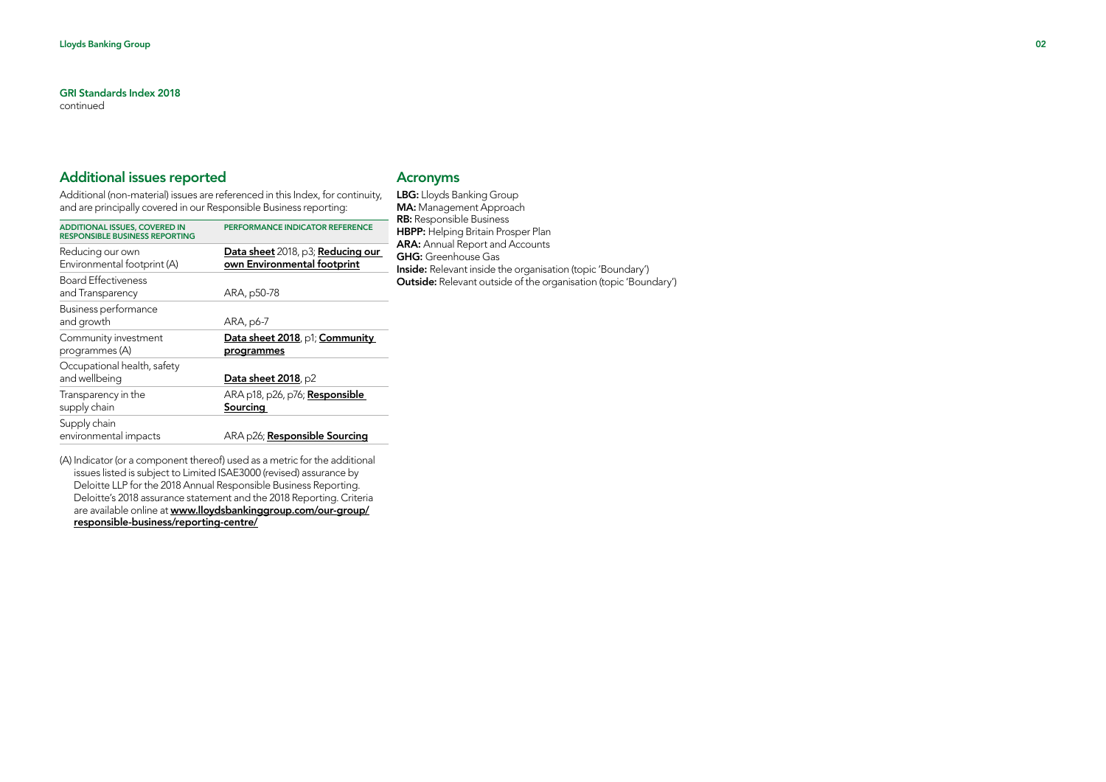continued

# Additional issues reported

Additional (non-material) issues are referenced in this Index, for continuity, and are principally covered in our Responsible Business reporting:

| <b>ADDITIONAL ISSUES, COVERED IN</b><br><b>RESPONSIBLE BUSINESS REPORTING</b> | PERFORMANCE INDICATOR REFERENCE                                  |
|-------------------------------------------------------------------------------|------------------------------------------------------------------|
| Reducing our own<br>Environmental footprint (A)                               | Data sheet 2018, p3; Reducing our<br>own Environmental footprint |
| <b>Board Effectiveness</b><br>and Transparency                                | ARA, p50-78                                                      |
| Business performance<br>and growth                                            | ARA, p6-7                                                        |
| Community investment<br>programmes (A)                                        | Data sheet 2018, p1; Community<br>programmes                     |
| Occupational health, safety<br>and wellbeing                                  | Data sheet 2018, p2                                              |
| Transparency in the<br>supply chain                                           | ARA p18, p26, p76; <b>Responsible</b><br>Sourcing                |
| Supply chain<br>environmental impacts                                         | ARA p26; Responsible Sourcing                                    |

(A) Indicator (or a component thereof) used as a metric for the additional issues listed is subject to Limited ISAE3000 (revised) assurance by Deloitte LLP for the 2018 Annual Responsible Business Reporting. Deloitte's 2018 assurance statement and the 2018 Reporting. Criteria are available online at [www.lloydsbankinggroup.com/our-group/](http://www.lloydsbankinggroup.com/our-group/responsible-business/reporting-centre/) [responsible-business/reporting-centre/](http://www.lloydsbankinggroup.com/our-group/responsible-business/reporting-centre/)

# Acronyms

LBG: Lloyds Banking Group MA: Management Approach RB: Responsible Business **HBPP:** Helping Britain Prosper Plan ARA: Annual Report and Accounts GHG: Greenhouse Gas Inside: Relevant inside the organisation (topic 'Boundary') Outside: Relevant outside of the organisation (topic 'Boundary')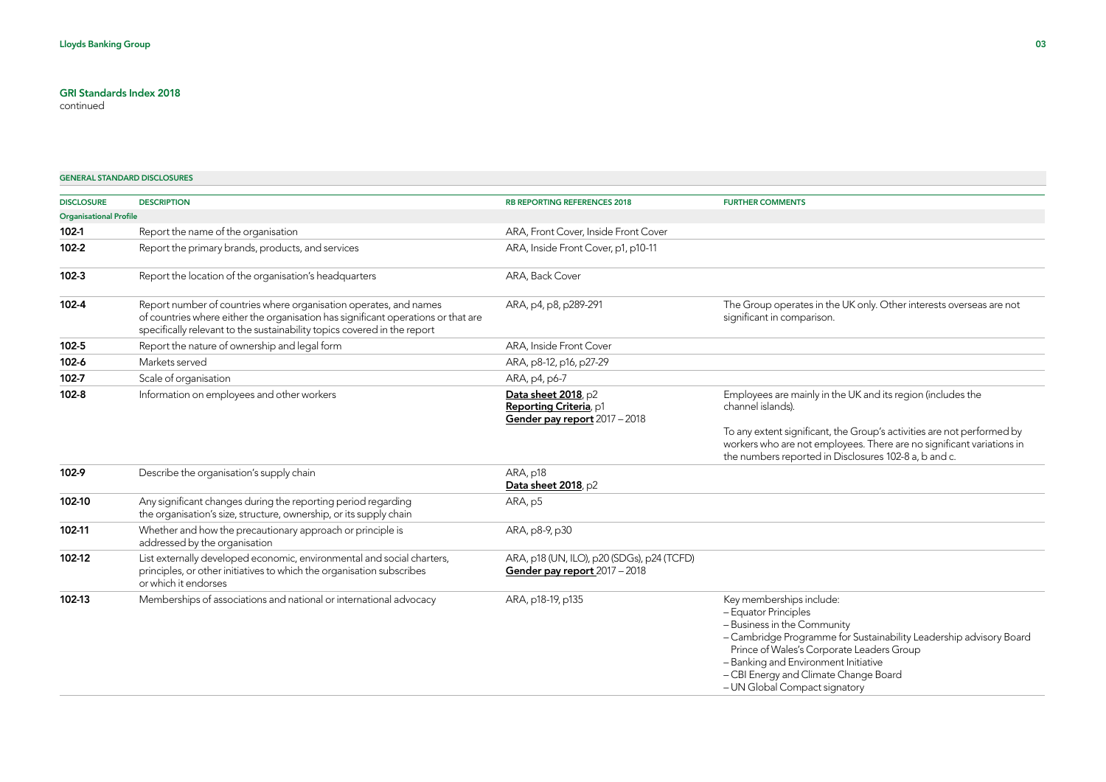continued

#### GENERAL STANDARD DISCLOSURES

| <b>DISCLOSURE</b>             | <b>DESCRIPTION</b>                                                                                                                                                                                                                 | RB REPORTING REFERENCES 2018                                                   | <b>FURTHER COMMENTS</b>                                                                                                                                                                                                                                                                                              |
|-------------------------------|------------------------------------------------------------------------------------------------------------------------------------------------------------------------------------------------------------------------------------|--------------------------------------------------------------------------------|----------------------------------------------------------------------------------------------------------------------------------------------------------------------------------------------------------------------------------------------------------------------------------------------------------------------|
| <b>Organisational Profile</b> |                                                                                                                                                                                                                                    |                                                                                |                                                                                                                                                                                                                                                                                                                      |
| 102-1                         | Report the name of the organisation                                                                                                                                                                                                | ARA, Front Cover, Inside Front Cover                                           |                                                                                                                                                                                                                                                                                                                      |
| $102 - 2$                     | Report the primary brands, products, and services                                                                                                                                                                                  | ARA, Inside Front Cover, p1, p10-11                                            |                                                                                                                                                                                                                                                                                                                      |
| $102 - 3$                     | Report the location of the organisation's headquarters                                                                                                                                                                             | ARA, Back Cover                                                                |                                                                                                                                                                                                                                                                                                                      |
| 102-4                         | Report number of countries where organisation operates, and names<br>of countries where either the organisation has significant operations or that are<br>specifically relevant to the sustainability topics covered in the report | ARA, p4, p8, p289-291                                                          | The Group operates in the UK only. Other interests overseas are not<br>significant in comparison.                                                                                                                                                                                                                    |
| 102-5                         | Report the nature of ownership and legal form                                                                                                                                                                                      | ARA, Inside Front Cover                                                        |                                                                                                                                                                                                                                                                                                                      |
| 102-6                         | Markets served                                                                                                                                                                                                                     | ARA, p8-12, p16, p27-29                                                        |                                                                                                                                                                                                                                                                                                                      |
| 102-7                         | Scale of organisation                                                                                                                                                                                                              | ARA, p4, p6-7                                                                  |                                                                                                                                                                                                                                                                                                                      |
| $102 - 8$                     | Information on employees and other workers                                                                                                                                                                                         | Data sheet 2018, p2<br>Reporting Criteria, p1<br>Gender pay report 2017 - 2018 | Employees are mainly in the UK and its region (includes the<br>channel islands).                                                                                                                                                                                                                                     |
|                               |                                                                                                                                                                                                                                    |                                                                                | To any extent significant, the Group's activities are not performed by<br>workers who are not employees. There are no significant variations in<br>the numbers reported in Disclosures 102-8 a, b and c.                                                                                                             |
| 102-9                         | Describe the organisation's supply chain                                                                                                                                                                                           | ARA, p18<br>Data sheet 2018, p2                                                |                                                                                                                                                                                                                                                                                                                      |
| 102-10                        | Any significant changes during the reporting period regarding<br>the organisation's size, structure, ownership, or its supply chain                                                                                                | ARA, p5                                                                        |                                                                                                                                                                                                                                                                                                                      |
| 102-11                        | Whether and how the precautionary approach or principle is<br>addressed by the organisation                                                                                                                                        | ARA, p8-9, p30                                                                 |                                                                                                                                                                                                                                                                                                                      |
| 102-12                        | List externally developed economic, environmental and social charters,<br>principles, or other initiatives to which the organisation subscribes<br>or which it endorses                                                            | ARA, p18 (UN, ILO), p20 (SDGs), p24 (TCFD)<br>Gender pay report 2017 - 2018    |                                                                                                                                                                                                                                                                                                                      |
| 102-13                        | Memberships of associations and national or international advocacy                                                                                                                                                                 | ARA, p18-19, p135                                                              | Key memberships include:<br>- Equator Principles<br>- Business in the Community<br>- Cambridge Programme for Sustainability Leadership advisory Board<br>Prince of Wales's Corporate Leaders Group<br>- Banking and Environment Initiative<br>- CBI Energy and Climate Change Board<br>- UN Global Compact signatory |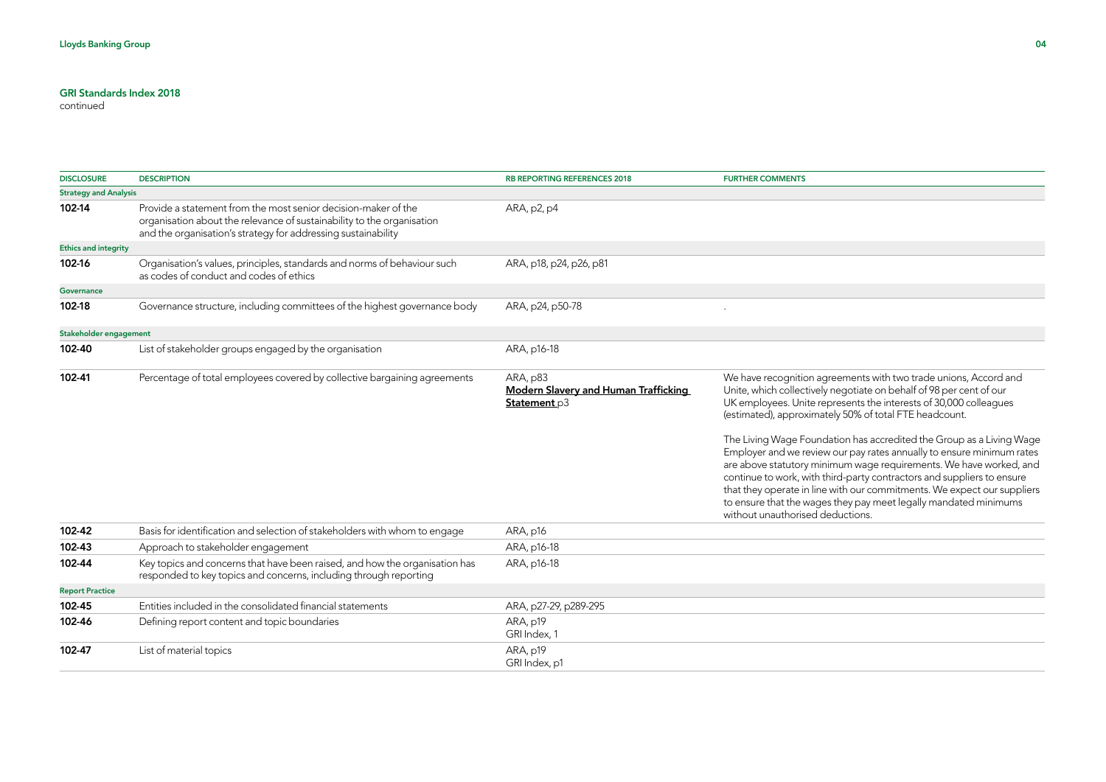| <b>DISCLOSURE</b>            | <b>DESCRIPTION</b>                                                                                                                                                                                        | <b>RB REPORTING REFERENCES 2018</b>                                     | <b>FURTHER COMMENTS</b>                                                                                                                                                                                                                                                                                                                                                                                                                                                                                                                                                                                                                                                                                                                                    |
|------------------------------|-----------------------------------------------------------------------------------------------------------------------------------------------------------------------------------------------------------|-------------------------------------------------------------------------|------------------------------------------------------------------------------------------------------------------------------------------------------------------------------------------------------------------------------------------------------------------------------------------------------------------------------------------------------------------------------------------------------------------------------------------------------------------------------------------------------------------------------------------------------------------------------------------------------------------------------------------------------------------------------------------------------------------------------------------------------------|
| <b>Strategy and Analysis</b> |                                                                                                                                                                                                           |                                                                         |                                                                                                                                                                                                                                                                                                                                                                                                                                                                                                                                                                                                                                                                                                                                                            |
| 102-14                       | Provide a statement from the most senior decision-maker of the<br>organisation about the relevance of sustainability to the organisation<br>and the organisation's strategy for addressing sustainability | ARA, p2, p4                                                             |                                                                                                                                                                                                                                                                                                                                                                                                                                                                                                                                                                                                                                                                                                                                                            |
| <b>Ethics and integrity</b>  |                                                                                                                                                                                                           |                                                                         |                                                                                                                                                                                                                                                                                                                                                                                                                                                                                                                                                                                                                                                                                                                                                            |
| 102-16                       | Organisation's values, principles, standards and norms of behaviour such<br>as codes of conduct and codes of ethics                                                                                       | ARA, p18, p24, p26, p81                                                 |                                                                                                                                                                                                                                                                                                                                                                                                                                                                                                                                                                                                                                                                                                                                                            |
| Governance                   |                                                                                                                                                                                                           |                                                                         |                                                                                                                                                                                                                                                                                                                                                                                                                                                                                                                                                                                                                                                                                                                                                            |
| 102-18                       | Governance structure, including committees of the highest governance body                                                                                                                                 | ARA, p24, p50-78                                                        |                                                                                                                                                                                                                                                                                                                                                                                                                                                                                                                                                                                                                                                                                                                                                            |
| Stakeholder engagement       |                                                                                                                                                                                                           |                                                                         |                                                                                                                                                                                                                                                                                                                                                                                                                                                                                                                                                                                                                                                                                                                                                            |
| 102-40                       | List of stakeholder groups engaged by the organisation                                                                                                                                                    | ARA, p16-18                                                             |                                                                                                                                                                                                                                                                                                                                                                                                                                                                                                                                                                                                                                                                                                                                                            |
| 102-41                       | Percentage of total employees covered by collective bargaining agreements                                                                                                                                 | ARA, p83<br><b>Modern Slavery and Human Trafficking</b><br>Statement p3 | We have recognition agreements with two trade unions, Accord and<br>Unite, which collectively negotiate on behalf of 98 per cent of our<br>UK employees. Unite represents the interests of 30,000 colleagues<br>(estimated), approximately 50% of total FTE headcount.<br>The Living Wage Foundation has accredited the Group as a Living Wage<br>Employer and we review our pay rates annually to ensure minimum rates<br>are above statutory minimum wage requirements. We have worked, and<br>continue to work, with third-party contractors and suppliers to ensure<br>that they operate in line with our commitments. We expect our suppliers<br>to ensure that the wages they pay meet legally mandated minimums<br>without unauthorised deductions. |
| 102-42                       | Basis for identification and selection of stakeholders with whom to engage                                                                                                                                | ARA, p16                                                                |                                                                                                                                                                                                                                                                                                                                                                                                                                                                                                                                                                                                                                                                                                                                                            |
| 102-43                       | Approach to stakeholder engagement                                                                                                                                                                        | ARA, p16-18                                                             |                                                                                                                                                                                                                                                                                                                                                                                                                                                                                                                                                                                                                                                                                                                                                            |
| 102-44                       | Key topics and concerns that have been raised, and how the organisation has<br>responded to key topics and concerns, including through reporting                                                          | ARA, p16-18                                                             |                                                                                                                                                                                                                                                                                                                                                                                                                                                                                                                                                                                                                                                                                                                                                            |
| <b>Report Practice</b>       |                                                                                                                                                                                                           |                                                                         |                                                                                                                                                                                                                                                                                                                                                                                                                                                                                                                                                                                                                                                                                                                                                            |
| 102-45                       | Entities included in the consolidated financial statements                                                                                                                                                | ARA, p27-29, p289-295                                                   |                                                                                                                                                                                                                                                                                                                                                                                                                                                                                                                                                                                                                                                                                                                                                            |
| 102-46                       | Defining report content and topic boundaries                                                                                                                                                              | ARA, p19<br>GRI Index, 1                                                |                                                                                                                                                                                                                                                                                                                                                                                                                                                                                                                                                                                                                                                                                                                                                            |
| 102-47                       | List of material topics                                                                                                                                                                                   | ARA, p19<br>GRI Index, p1                                               |                                                                                                                                                                                                                                                                                                                                                                                                                                                                                                                                                                                                                                                                                                                                                            |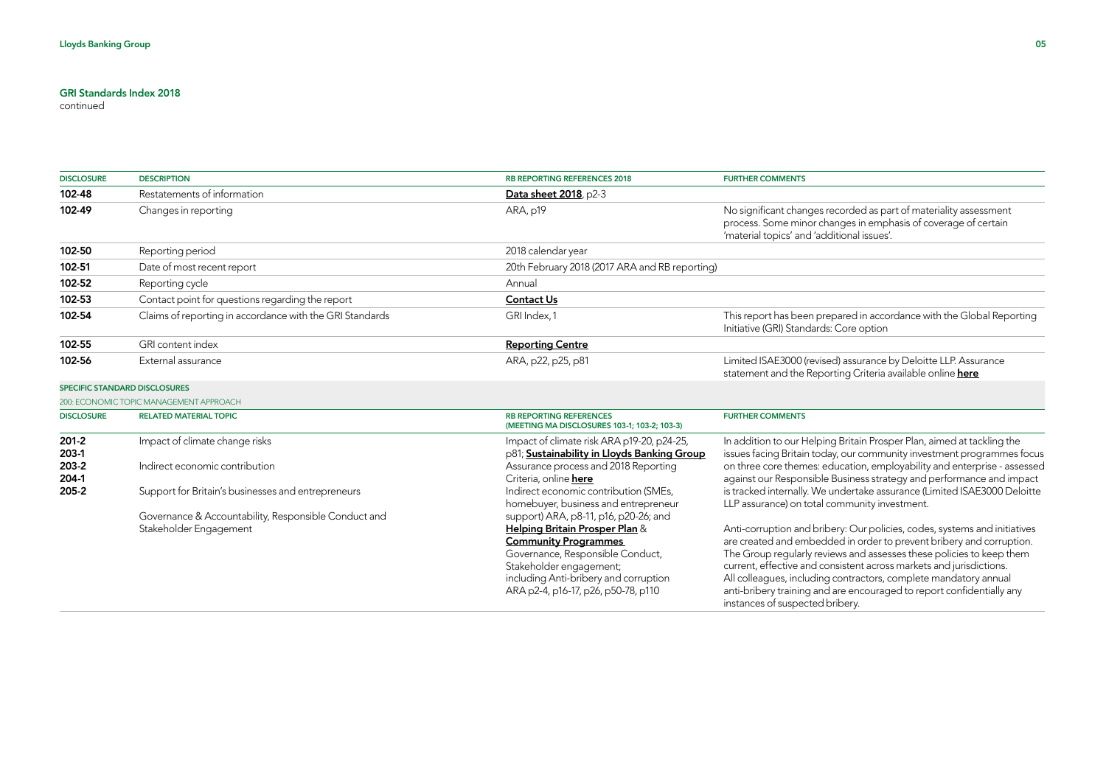| <b>DISCLOSURE</b>                                 | <b>DESCRIPTION</b>                                                                                                                                                                                       | <b>RB REPORTING REFERENCES 2018</b>                                                                                                                                                                                                                                                                                                                                                                                                                           | <b>FURTHER COMMENTS</b>                                                                                                                                                                                                                                                                                                                                                                                                                                                                                                                                                                                                                                                                                                                                                                                   |
|---------------------------------------------------|----------------------------------------------------------------------------------------------------------------------------------------------------------------------------------------------------------|---------------------------------------------------------------------------------------------------------------------------------------------------------------------------------------------------------------------------------------------------------------------------------------------------------------------------------------------------------------------------------------------------------------------------------------------------------------|-----------------------------------------------------------------------------------------------------------------------------------------------------------------------------------------------------------------------------------------------------------------------------------------------------------------------------------------------------------------------------------------------------------------------------------------------------------------------------------------------------------------------------------------------------------------------------------------------------------------------------------------------------------------------------------------------------------------------------------------------------------------------------------------------------------|
| 102-48                                            | Restatements of information                                                                                                                                                                              | Data sheet 2018, p2-3                                                                                                                                                                                                                                                                                                                                                                                                                                         |                                                                                                                                                                                                                                                                                                                                                                                                                                                                                                                                                                                                                                                                                                                                                                                                           |
| 102-49                                            | Changes in reporting                                                                                                                                                                                     | ARA, p19                                                                                                                                                                                                                                                                                                                                                                                                                                                      | No significant changes recorded as part of materiality assessment<br>process. Some minor changes in emphasis of coverage of certain<br>'material topics' and 'additional issues'.                                                                                                                                                                                                                                                                                                                                                                                                                                                                                                                                                                                                                         |
| 102-50                                            | Reporting period                                                                                                                                                                                         | 2018 calendar year                                                                                                                                                                                                                                                                                                                                                                                                                                            |                                                                                                                                                                                                                                                                                                                                                                                                                                                                                                                                                                                                                                                                                                                                                                                                           |
| 102-51                                            | Date of most recent report                                                                                                                                                                               | 20th February 2018 (2017 ARA and RB reporting)                                                                                                                                                                                                                                                                                                                                                                                                                |                                                                                                                                                                                                                                                                                                                                                                                                                                                                                                                                                                                                                                                                                                                                                                                                           |
| 102-52                                            | Reporting cycle                                                                                                                                                                                          | Annual                                                                                                                                                                                                                                                                                                                                                                                                                                                        |                                                                                                                                                                                                                                                                                                                                                                                                                                                                                                                                                                                                                                                                                                                                                                                                           |
| 102-53                                            | Contact point for questions regarding the report                                                                                                                                                         | <b>Contact Us</b>                                                                                                                                                                                                                                                                                                                                                                                                                                             |                                                                                                                                                                                                                                                                                                                                                                                                                                                                                                                                                                                                                                                                                                                                                                                                           |
| 102-54                                            | Claims of reporting in accordance with the GRI Standards                                                                                                                                                 | GRI Index, 1                                                                                                                                                                                                                                                                                                                                                                                                                                                  | This report has been prepared in accordance with the Global Reporting<br>Initiative (GRI) Standards: Core option                                                                                                                                                                                                                                                                                                                                                                                                                                                                                                                                                                                                                                                                                          |
| 102-55                                            | GRI content index                                                                                                                                                                                        | <b>Reporting Centre</b>                                                                                                                                                                                                                                                                                                                                                                                                                                       |                                                                                                                                                                                                                                                                                                                                                                                                                                                                                                                                                                                                                                                                                                                                                                                                           |
| 102-56                                            | External assurance                                                                                                                                                                                       | ARA, p22, p25, p81                                                                                                                                                                                                                                                                                                                                                                                                                                            | Limited ISAE3000 (revised) assurance by Deloitte LLP. Assurance<br>statement and the Reporting Criteria available online here                                                                                                                                                                                                                                                                                                                                                                                                                                                                                                                                                                                                                                                                             |
|                                                   | SPECIFIC STANDARD DISCLOSURES                                                                                                                                                                            |                                                                                                                                                                                                                                                                                                                                                                                                                                                               |                                                                                                                                                                                                                                                                                                                                                                                                                                                                                                                                                                                                                                                                                                                                                                                                           |
|                                                   | 200: ECONOMIC TOPIC MANAGEMENT APPROACH                                                                                                                                                                  |                                                                                                                                                                                                                                                                                                                                                                                                                                                               |                                                                                                                                                                                                                                                                                                                                                                                                                                                                                                                                                                                                                                                                                                                                                                                                           |
| <b>DISCLOSURE</b>                                 | <b>RELATED MATERIAL TOPIC</b>                                                                                                                                                                            | <b>RB REPORTING REFERENCES</b><br>(MEETING MA DISCLOSURES 103-1; 103-2; 103-3)                                                                                                                                                                                                                                                                                                                                                                                | <b>FURTHER COMMENTS</b>                                                                                                                                                                                                                                                                                                                                                                                                                                                                                                                                                                                                                                                                                                                                                                                   |
| $201 - 2$<br>203-1<br>203-2<br>204-1<br>$205 - 2$ | Impact of climate change risks<br>Indirect economic contribution<br>Support for Britain's businesses and entrepreneurs<br>Governance & Accountability, Responsible Conduct and<br>Stakeholder Engagement | Impact of climate risk ARA p19-20, p24-25,<br>p81; Sustainability in Lloyds Banking Group<br>Assurance process and 2018 Reporting<br>Criteria, online here<br>Indirect economic contribution (SMEs,<br>homebuyer, business and entrepreneur<br>support) ARA, p8-11, p16, p20-26; and<br>Helping Britain Prosper Plan &<br><b>Community Programmes</b><br>Governance, Responsible Conduct,<br>Stakeholder engagement;<br>including Anti-bribery and corruption | In addition to our Helping Britain Prosper Plan, aimed at tackling the<br>issues facing Britain today, our community investment programmes focus<br>on three core themes: education, employability and enterprise - assessed<br>against our Responsible Business strategy and performance and impact<br>is tracked internally. We undertake assurance (Limited ISAE3000 Deloitte<br>LLP assurance) on total community investment.<br>Anti-corruption and bribery: Our policies, codes, systems and initiatives<br>are created and embedded in order to prevent bribery and corruption.<br>The Group regularly reviews and assesses these policies to keep them<br>current, effective and consistent across markets and jurisdictions.<br>All colleagues, including contractors, complete mandatory annual |
|                                                   |                                                                                                                                                                                                          | ARA p2-4, p16-17, p26, p50-78, p110                                                                                                                                                                                                                                                                                                                                                                                                                           | anti-bribery training and are encouraged to report confidentially any<br>instances of suspected bribery.                                                                                                                                                                                                                                                                                                                                                                                                                                                                                                                                                                                                                                                                                                  |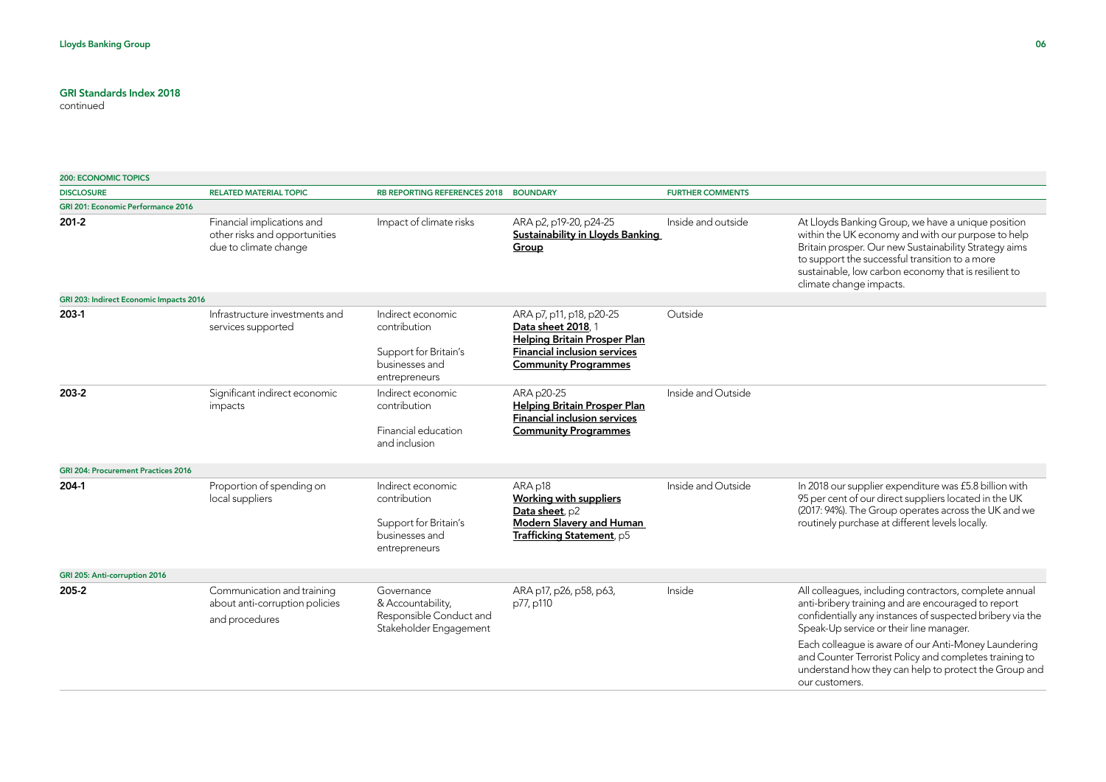| <b>200: ECONOMIC TOPICS</b>                |                                                                                      |                                                                                               |                                                                                                                                                             |                         |                                                                                                                                                                                                                                                                                                                                                                                                                   |
|--------------------------------------------|--------------------------------------------------------------------------------------|-----------------------------------------------------------------------------------------------|-------------------------------------------------------------------------------------------------------------------------------------------------------------|-------------------------|-------------------------------------------------------------------------------------------------------------------------------------------------------------------------------------------------------------------------------------------------------------------------------------------------------------------------------------------------------------------------------------------------------------------|
| <b>DISCLOSURE</b>                          | <b>RELATED MATERIAL TOPIC</b>                                                        | <b>RB REPORTING REFERENCES 2018</b>                                                           | <b>BOUNDARY</b>                                                                                                                                             | <b>FURTHER COMMENTS</b> |                                                                                                                                                                                                                                                                                                                                                                                                                   |
| <b>GRI 201: Economic Performance 2016</b>  |                                                                                      |                                                                                               |                                                                                                                                                             |                         |                                                                                                                                                                                                                                                                                                                                                                                                                   |
| 201-2                                      | Financial implications and<br>other risks and opportunities<br>due to climate change | Impact of climate risks                                                                       | ARA p2, p19-20, p24-25<br><b>Sustainability in Lloyds Banking</b><br>Group                                                                                  | Inside and outside      | At Lloyds Banking Group, we have a unique position<br>within the UK economy and with our purpose to help<br>Britain prosper. Our new Sustainability Strategy aims<br>to support the successful transition to a more<br>sustainable, low carbon economy that is resilient to<br>climate change impacts.                                                                                                            |
| GRI 203: Indirect Economic Impacts 2016    |                                                                                      |                                                                                               |                                                                                                                                                             |                         |                                                                                                                                                                                                                                                                                                                                                                                                                   |
| 203-1                                      | Infrastructure investments and<br>services supported                                 | Indirect economic<br>contribution<br>Support for Britain's<br>businesses and<br>entrepreneurs | ARA p7, p11, p18, p20-25<br>Data sheet 2018, 1<br><b>Helping Britain Prosper Plan</b><br><b>Financial inclusion services</b><br><b>Community Programmes</b> | Outside                 |                                                                                                                                                                                                                                                                                                                                                                                                                   |
| 203-2                                      | Significant indirect economic<br>impacts                                             | Indirect economic<br>contribution<br>Financial education<br>and inclusion                     | ARA p20-25<br><b>Helping Britain Prosper Plan</b><br><b>Financial inclusion services</b><br><b>Community Programmes</b>                                     | Inside and Outside      |                                                                                                                                                                                                                                                                                                                                                                                                                   |
| <b>GRI 204: Procurement Practices 2016</b> |                                                                                      |                                                                                               |                                                                                                                                                             |                         |                                                                                                                                                                                                                                                                                                                                                                                                                   |
| 204-1                                      | Proportion of spending on<br>local suppliers                                         | Indirect economic<br>contribution<br>Support for Britain's<br>businesses and<br>entrepreneurs | ARA p18<br><b>Working with suppliers</b><br>Data sheet, p2<br><b>Modern Slavery and Human</b><br>Trafficking Statement, p5                                  | Inside and Outside      | In 2018 our supplier expenditure was £5.8 billion with<br>95 per cent of our direct suppliers located in the UK<br>(2017: 94%). The Group operates across the UK and we<br>routinely purchase at different levels locally.                                                                                                                                                                                        |
| GRI 205: Anti-corruption 2016              |                                                                                      |                                                                                               |                                                                                                                                                             |                         |                                                                                                                                                                                                                                                                                                                                                                                                                   |
| 205-2                                      | Communication and training<br>about anti-corruption policies<br>and procedures       | Governance<br>& Accountability,<br>Responsible Conduct and<br>Stakeholder Engagement          | ARA p17, p26, p58, p63,<br>p77, p110                                                                                                                        | Inside                  | All colleagues, including contractors, complete annual<br>anti-bribery training and are encouraged to report<br>confidentially any instances of suspected bribery via the<br>Speak-Up service or their line manager.<br>Each colleague is aware of our Anti-Money Laundering<br>and Counter Terrorist Policy and completes training to<br>understand how they can help to protect the Group and<br>our customers. |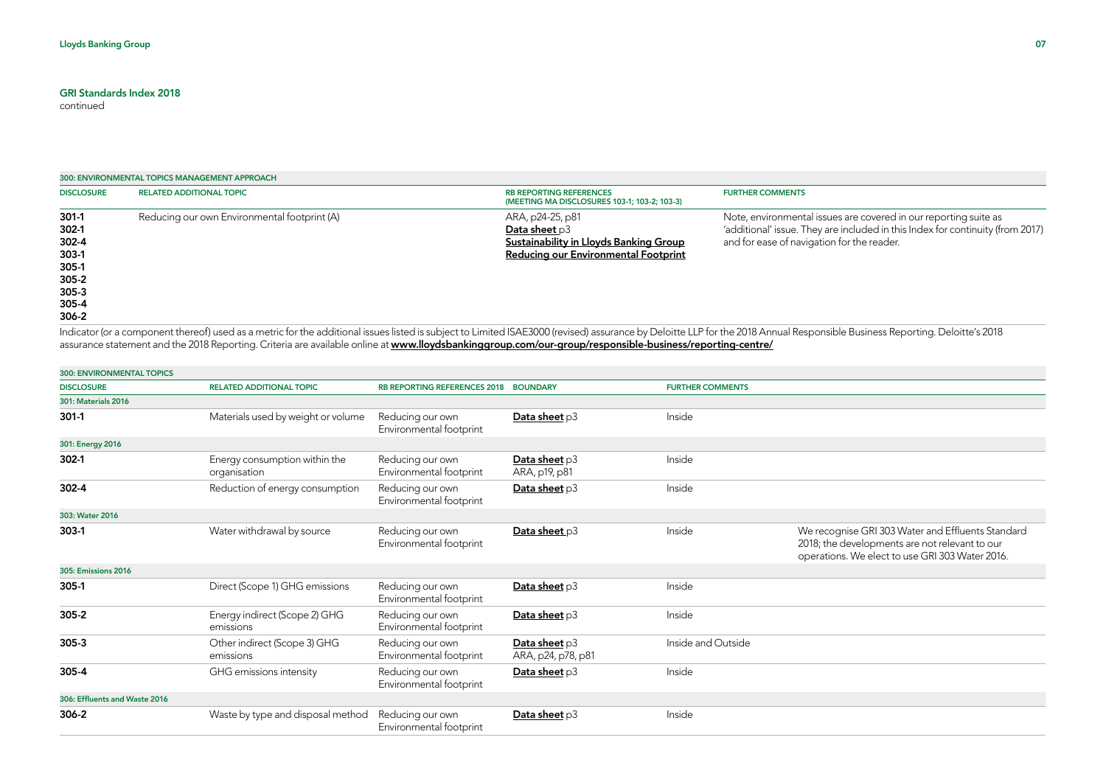continued

|                                                                                           | 300: ENVIRONMENTAL TOPICS MANAGEMENT APPROACH |                                                                                                                       |                                                                                                                                                                                                  |  |  |  |
|-------------------------------------------------------------------------------------------|-----------------------------------------------|-----------------------------------------------------------------------------------------------------------------------|--------------------------------------------------------------------------------------------------------------------------------------------------------------------------------------------------|--|--|--|
| <b>DISCLOSURE</b>                                                                         | <b>RELATED ADDITIONAL TOPIC</b>               | <b>RB REPORTING REFERENCES</b><br>(MEETING MA DISCLOSURES 103-1; 103-2; 103-3)                                        | <b>FURTHER COMMENTS</b>                                                                                                                                                                          |  |  |  |
| $301-1$<br>$302-1$<br>302-4<br>303-1<br>305-1<br>$305 - 2$<br>$305 - 3$<br>305-4<br>306-2 | Reducing our own Environmental footprint (A)  | ARA, p24-25, p81<br>Data sheet $p3$<br>Sustainability in Lloyds Banking Group<br>Reducing our Environmental Footprint | Note, environmental issues are covered in our reporting suite as<br>'additional' issue. They are included in this Index for continuity (from 2017)<br>and for ease of navigation for the reader. |  |  |  |

Indicator (or a component thereof) used as a metric for the additional issues listed is subject to Limited ISAE3000 (revised) assurance by Deloitte LLP for the 2018 Annual Responsible Business Reporting. Deloitte's 2018 assurance statement and the 2018 Reporting. Criteria are available online at <u>www.ll**oydsbankinggroup.com/our-group/responsible-business/reporting-centre/**</u>

| <b>300: ENVIRONMENTAL TOPICS</b> |                                               |                                             |                                     |                         |                                                                                                                                                        |
|----------------------------------|-----------------------------------------------|---------------------------------------------|-------------------------------------|-------------------------|--------------------------------------------------------------------------------------------------------------------------------------------------------|
| <b>DISCLOSURE</b>                | <b>RELATED ADDITIONAL TOPIC</b>               | RB REPORTING REFERENCES 2018 BOUNDARY       |                                     | <b>FURTHER COMMENTS</b> |                                                                                                                                                        |
| <b>301: Materials 2016</b>       |                                               |                                             |                                     |                         |                                                                                                                                                        |
| $301-1$                          | Materials used by weight or volume            | Reducing our own<br>Environmental footprint | Data sheet p3                       | Inside                  |                                                                                                                                                        |
| 301: Energy 2016                 |                                               |                                             |                                     |                         |                                                                                                                                                        |
| $302-1$                          | Energy consumption within the<br>organisation | Reducing our own<br>Environmental footprint | Data sheet p3<br>ARA, p19, p81      | Inside                  |                                                                                                                                                        |
| 302-4                            | Reduction of energy consumption               | Reducing our own<br>Environmental footprint | Data sheet p3                       | Inside                  |                                                                                                                                                        |
| 303: Water 2016                  |                                               |                                             |                                     |                         |                                                                                                                                                        |
| $303-1$                          | Water withdrawal by source                    | Reducing our own<br>Environmental footprint | Data sheet p3                       | Inside                  | We recognise GRI 303 Water and Effluents Standard<br>2018; the developments are not relevant to our<br>operations. We elect to use GRI 303 Water 2016. |
| <b>305: Emissions 2016</b>       |                                               |                                             |                                     |                         |                                                                                                                                                        |
| 305-1                            | Direct (Scope 1) GHG emissions                | Reducing our own<br>Environmental footprint | Data sheet $p3$                     | Inside                  |                                                                                                                                                        |
| $305 - 2$                        | Energy indirect (Scope 2) GHG<br>emissions    | Reducing our own<br>Environmental footprint | Data sheet p3                       | Inside                  |                                                                                                                                                        |
| $305 - 3$                        | Other indirect (Scope 3) GHG<br>emissions     | Reducing our own<br>Environmental footprint | Data sheet p3<br>ARA, p24, p78, p81 | Inside and Outside      |                                                                                                                                                        |
| 305-4                            | GHG emissions intensity                       | Reducing our own<br>Environmental footprint | Data sheet p3                       | Inside                  |                                                                                                                                                        |
| 306: Effluents and Waste 2016    |                                               |                                             |                                     |                         |                                                                                                                                                        |
| 306-2                            | Waste by type and disposal method             | Reducing our own<br>Environmental footprint | Data sheet $p3$                     | Inside                  |                                                                                                                                                        |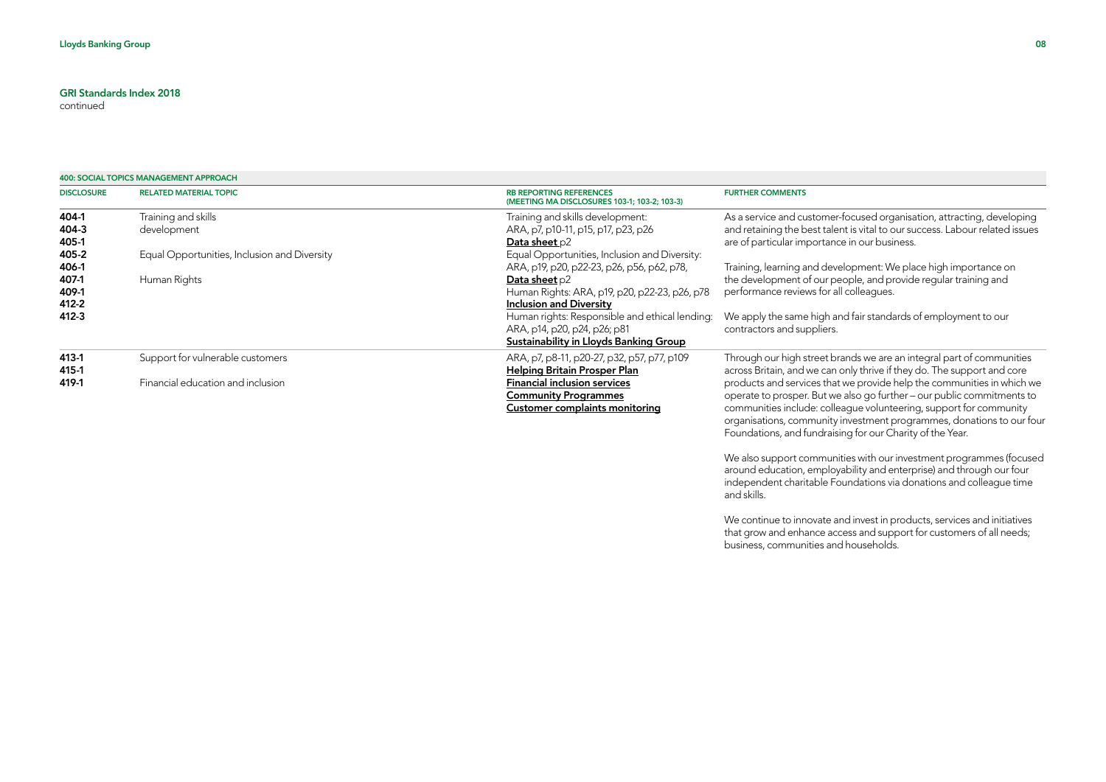continued

|                   | 400: SOCIAL TOPICS MANAGEMENT APPROACH       |                                                                                |                                                                              |  |  |  |
|-------------------|----------------------------------------------|--------------------------------------------------------------------------------|------------------------------------------------------------------------------|--|--|--|
| <b>DISCLOSURE</b> | <b>RELATED MATERIAL TOPIC</b>                | <b>RB REPORTING REFERENCES</b><br>(MEETING MA DISCLOSURES 103-1; 103-2; 103-3) | <b>FURTHER COMMENTS</b>                                                      |  |  |  |
| 404-1             | Training and skills                          | Training and skills development:                                               | As a service and customer-focused organisation, attracting, developing       |  |  |  |
| 404-3             | development                                  | ARA, p7, p10-11, p15, p17, p23, p26                                            | and retaining the best talent is vital to our success. Labour related issues |  |  |  |
| 405-1             |                                              | Data sheet p2                                                                  | are of particular importance in our business.                                |  |  |  |
| 405-2             | Equal Opportunities, Inclusion and Diversity | Equal Opportunities, Inclusion and Diversity:                                  |                                                                              |  |  |  |
| 406-1             |                                              | ARA, p19, p20, p22-23, p26, p56, p62, p78,                                     | Training, learning and development: We place high importance on              |  |  |  |
| 407-1             | Human Rights                                 | Data sheet p2                                                                  | the development of our people, and provide regular training and              |  |  |  |
| 409-1             |                                              | Human Rights: ARA, p19, p20, p22-23, p26, p78                                  | performance reviews for all colleagues.                                      |  |  |  |
| 412-2             |                                              | <b>Inclusion and Diversity</b>                                                 |                                                                              |  |  |  |
| 412-3             |                                              | Human rights: Responsible and ethical lending:                                 | We apply the same high and fair standards of employment to our               |  |  |  |
|                   |                                              | ARA, p14, p20, p24, p26; p81                                                   | contractors and suppliers.                                                   |  |  |  |
|                   |                                              | Sustainability in Lloyds Banking Group                                         |                                                                              |  |  |  |
| 413-1             | Support for vulnerable customers             | ARA, p7, p8-11, p20-27, p32, p57, p77, p109                                    | Through our high street brands we are an integral part of communities        |  |  |  |
| 415-1             |                                              | <b>Helping Britain Prosper Plan</b>                                            | across Britain, and we can only thrive if they do. The support and core      |  |  |  |
| 419-1             | Financial education and inclusion            | <b>Financial inclusion services</b>                                            | products and services that we provide help the communities in which we       |  |  |  |
|                   |                                              | <b>Community Programmes</b>                                                    | operate to prosper. But we also go further - our public commitments to       |  |  |  |
|                   |                                              | <b>Customer complaints monitoring</b>                                          | communities include: colleague volunteering, support for community           |  |  |  |
|                   |                                              |                                                                                | organisations, community investment programmes, donations to our four        |  |  |  |
|                   |                                              |                                                                                | Foundations, and fundraising for our Charity of the Year.                    |  |  |  |
|                   |                                              |                                                                                |                                                                              |  |  |  |

We also support communities with our investment programmes (focused around education, employability and enterprise) and through our four independent charitable Foundations via donations and colleague time and skills.

We continue to innovate and invest in products, services and initiatives that grow and enhance access and support for customers of all needs; business, communities and households.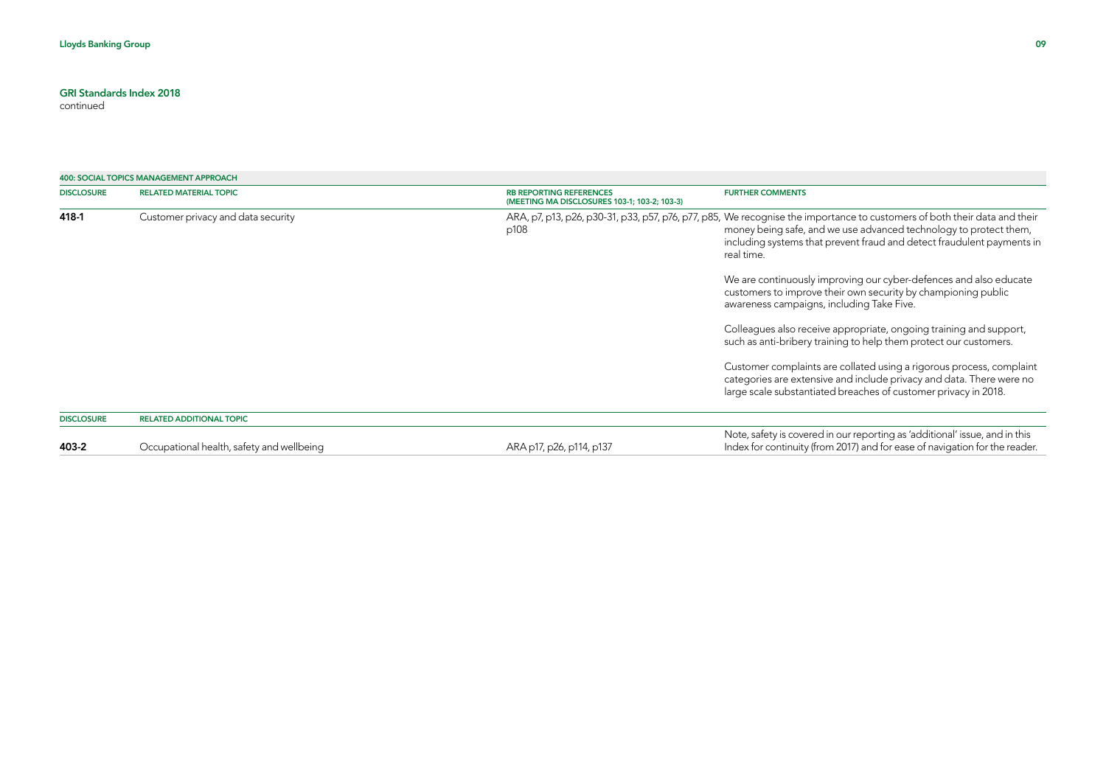| <b>400: SOCIAL TOPICS MANAGEMENT APPROACH</b> |                                                                                |                                                                                                                                                                                                                                                                                        |
|-----------------------------------------------|--------------------------------------------------------------------------------|----------------------------------------------------------------------------------------------------------------------------------------------------------------------------------------------------------------------------------------------------------------------------------------|
| <b>RELATED MATERIAL TOPIC</b>                 | <b>RB REPORTING REFERENCES</b><br>(MEETING MA DISCLOSURES 103-1; 103-2; 103-3) | <b>FURTHER COMMENTS</b>                                                                                                                                                                                                                                                                |
| Customer privacy and data security<br>p108    |                                                                                | ARA, p7, p13, p26, p30-31, p33, p57, p76, p77, p85, We recognise the importance to customers of both their data and their<br>money being safe, and we use advanced technology to protect them,<br>including systems that prevent fraud and detect fraudulent payments in<br>real time. |
|                                               |                                                                                | We are continuously improving our cyber-defences and also educate<br>customers to improve their own security by championing public<br>awareness campaigns, including Take Five.                                                                                                        |
|                                               |                                                                                | Colleagues also receive appropriate, ongoing training and support,<br>such as anti-bribery training to help them protect our customers.                                                                                                                                                |
|                                               |                                                                                | Customer complaints are collated using a rigorous process, complaint<br>categories are extensive and include privacy and data. There were no<br>large scale substantiated breaches of customer privacy in 2018.                                                                        |
| <b>RELATED ADDITIONAL TOPIC</b>               |                                                                                |                                                                                                                                                                                                                                                                                        |
| Occupational health, safety and wellbeing     | ARA p17, p26, p114, p137                                                       | Note, safety is covered in our reporting as 'additional' issue, and in this<br>Index for continuity (from 2017) and for ease of navigation for the reader.                                                                                                                             |
|                                               |                                                                                |                                                                                                                                                                                                                                                                                        |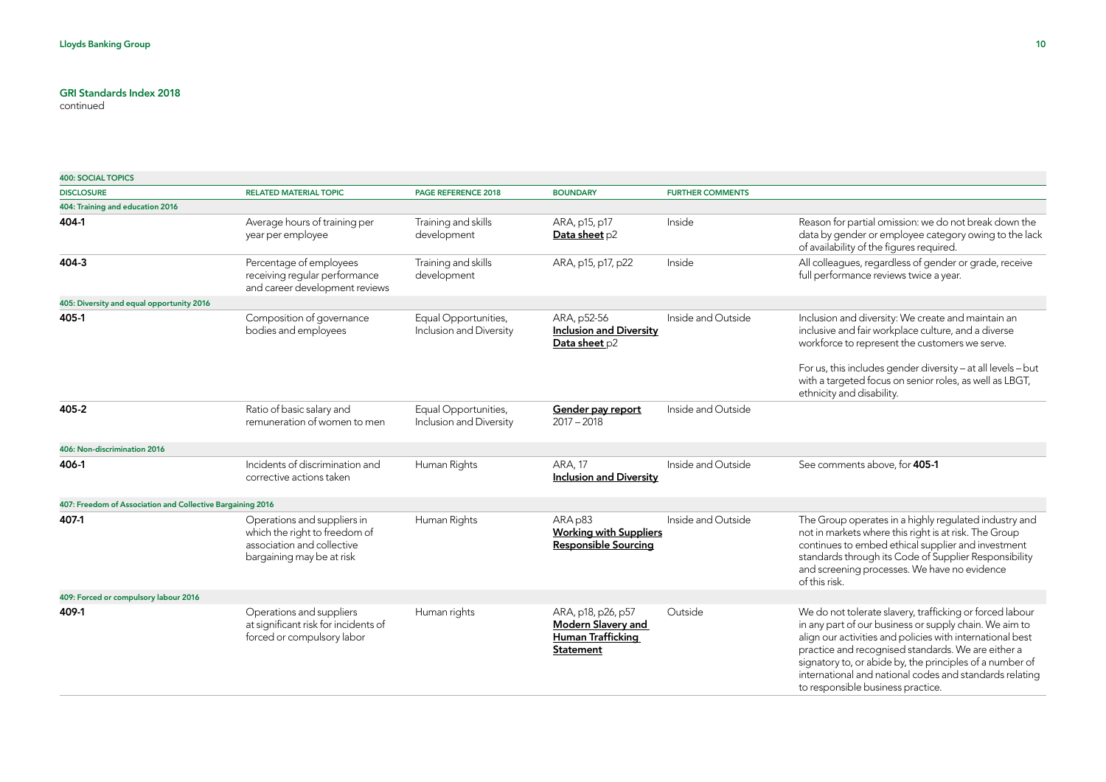| <b>400: SOCIAL TOPICS</b>                                  |                                                                                                                         |                                                 |                                                                                                 |                         |                                                                                                                                                                                                                                                                                                                                                                                                   |
|------------------------------------------------------------|-------------------------------------------------------------------------------------------------------------------------|-------------------------------------------------|-------------------------------------------------------------------------------------------------|-------------------------|---------------------------------------------------------------------------------------------------------------------------------------------------------------------------------------------------------------------------------------------------------------------------------------------------------------------------------------------------------------------------------------------------|
| <b>DISCLOSURE</b>                                          | <b>RELATED MATERIAL TOPIC</b>                                                                                           | <b>PAGE REFERENCE 2018</b>                      | <b>BOUNDARY</b>                                                                                 | <b>FURTHER COMMENTS</b> |                                                                                                                                                                                                                                                                                                                                                                                                   |
| 404: Training and education 2016                           |                                                                                                                         |                                                 |                                                                                                 |                         |                                                                                                                                                                                                                                                                                                                                                                                                   |
| 404-1                                                      | Average hours of training per<br>year per employee                                                                      | Training and skills<br>development              | ARA, p15, p17<br>Data sheet p2                                                                  | Inside                  | Reason for partial omission: we do not break down the<br>data by gender or employee category owing to the lack<br>of availability of the figures required.                                                                                                                                                                                                                                        |
| 404-3                                                      | Percentage of employees<br>receiving regular performance<br>and career development reviews                              | Training and skills<br>development              | ARA, p15, p17, p22                                                                              | Inside                  | All colleagues, regardless of gender or grade, receive<br>full performance reviews twice a year.                                                                                                                                                                                                                                                                                                  |
| 405: Diversity and equal opportunity 2016                  |                                                                                                                         |                                                 |                                                                                                 |                         |                                                                                                                                                                                                                                                                                                                                                                                                   |
| 405-1                                                      | Composition of governance<br>bodies and employees                                                                       | Equal Opportunities,<br>Inclusion and Diversity | ARA, p52-56<br><b>Inclusion and Diversity</b><br>Data sheet p2                                  | Inside and Outside      | Inclusion and diversity: We create and maintain an<br>inclusive and fair workplace culture, and a diverse<br>workforce to represent the customers we serve.<br>For us, this includes gender diversity - at all levels - but<br>with a targeted focus on senior roles, as well as LBGT,<br>ethnicity and disability.                                                                               |
| 405-2                                                      | Ratio of basic salary and<br>remuneration of women to men                                                               | Equal Opportunities,<br>Inclusion and Diversity | Gender pay report<br>$2017 - 2018$                                                              | Inside and Outside      |                                                                                                                                                                                                                                                                                                                                                                                                   |
| 406: Non-discrimination 2016                               |                                                                                                                         |                                                 |                                                                                                 |                         |                                                                                                                                                                                                                                                                                                                                                                                                   |
| 406-1                                                      | Incidents of discrimination and<br>corrective actions taken                                                             | Human Rights                                    | <b>ARA, 17</b><br><b>Inclusion and Diversity</b>                                                | Inside and Outside      | See comments above, for 405-1                                                                                                                                                                                                                                                                                                                                                                     |
| 407: Freedom of Association and Collective Bargaining 2016 |                                                                                                                         |                                                 |                                                                                                 |                         |                                                                                                                                                                                                                                                                                                                                                                                                   |
| 407-1                                                      | Operations and suppliers in<br>which the right to freedom of<br>association and collective<br>bargaining may be at risk | Human Rights                                    | ARA p83<br><b>Working with Suppliers</b><br><b>Responsible Sourcing</b>                         | Inside and Outside      | The Group operates in a highly regulated industry and<br>not in markets where this right is at risk. The Group<br>continues to embed ethical supplier and investment<br>standards through its Code of Supplier Responsibility<br>and screening processes. We have no evidence<br>of this risk.                                                                                                    |
| 409: Forced or compulsory labour 2016                      |                                                                                                                         |                                                 |                                                                                                 |                         |                                                                                                                                                                                                                                                                                                                                                                                                   |
| 409-1                                                      | Operations and suppliers<br>at significant risk for incidents of<br>forced or compulsory labor                          | Human rights                                    | ARA, p18, p26, p57<br><b>Modern Slavery and</b><br><b>Human Trafficking</b><br><b>Statement</b> | Outside                 | We do not tolerate slavery, trafficking or forced labour<br>in any part of our business or supply chain. We aim to<br>align our activities and policies with international best<br>practice and recognised standards. We are either a<br>signatory to, or abide by, the principles of a number of<br>international and national codes and standards relating<br>to responsible business practice. |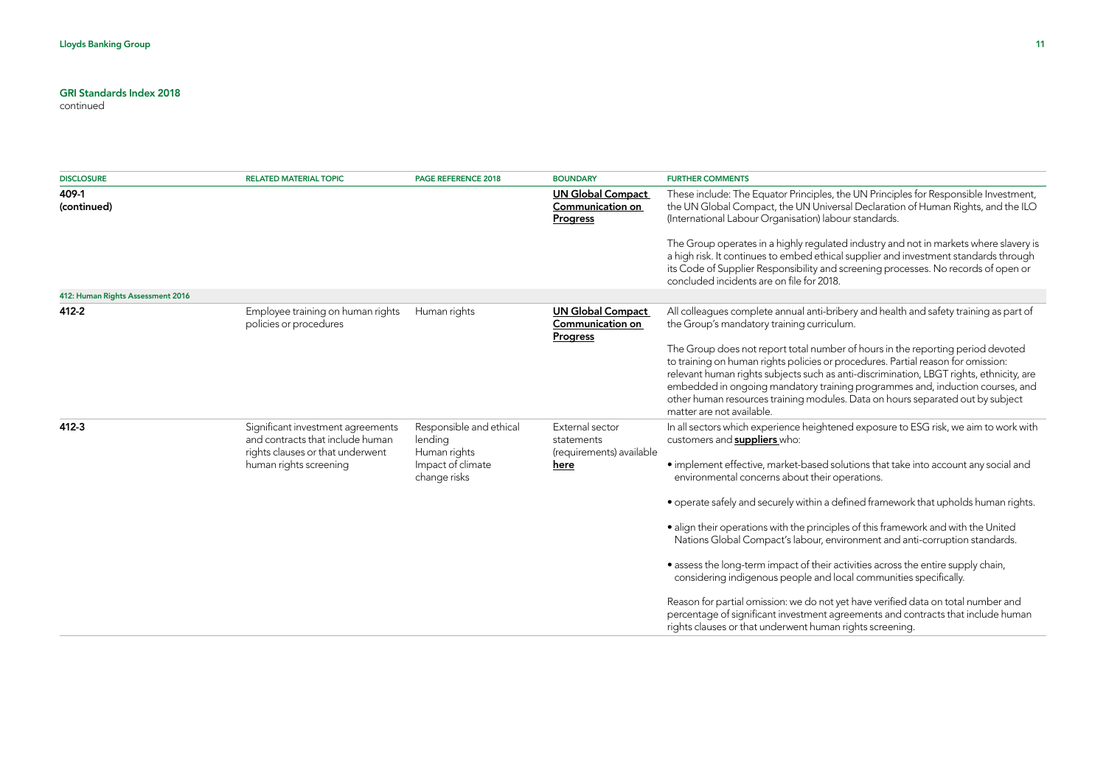| <b>DISCLOSURE</b>                 | <b>RELATED MATERIAL TOPIC</b>                                                                             | PAGE REFERENCE 2018                                | <b>BOUNDARY</b>                                                        | <b>FURTHER COMMENTS</b>                                                                                                                                                                                                                                                                                                                                                                                                                                        |
|-----------------------------------|-----------------------------------------------------------------------------------------------------------|----------------------------------------------------|------------------------------------------------------------------------|----------------------------------------------------------------------------------------------------------------------------------------------------------------------------------------------------------------------------------------------------------------------------------------------------------------------------------------------------------------------------------------------------------------------------------------------------------------|
| 409-1<br>(continued)              |                                                                                                           |                                                    | <b>UN Global Compact</b><br><b>Communication on</b><br><b>Progress</b> | These include: The Equator Principles, the UN Principles for Responsible Investment,<br>the UN Global Compact, the UN Universal Declaration of Human Rights, and the ILO<br>(International Labour Organisation) labour standards.                                                                                                                                                                                                                              |
|                                   |                                                                                                           |                                                    |                                                                        | The Group operates in a highly regulated industry and not in markets where slavery is<br>a high risk. It continues to embed ethical supplier and investment standards through<br>its Code of Supplier Responsibility and screening processes. No records of open or<br>concluded incidents are on file for 2018.                                                                                                                                               |
| 412: Human Rights Assessment 2016 |                                                                                                           |                                                    |                                                                        |                                                                                                                                                                                                                                                                                                                                                                                                                                                                |
| 412-2                             | Employee training on human rights<br>policies or procedures                                               | Human rights                                       | <b>UN Global Compact</b><br>Communication on<br>Progress               | All colleagues complete annual anti-bribery and health and safety training as part of<br>the Group's mandatory training curriculum.                                                                                                                                                                                                                                                                                                                            |
|                                   |                                                                                                           |                                                    |                                                                        | The Group does not report total number of hours in the reporting period devoted<br>to training on human rights policies or procedures. Partial reason for omission:<br>relevant human rights subjects such as anti-discrimination, LBGT rights, ethnicity, are<br>embedded in ongoing mandatory training programmes and, induction courses, and<br>other human resources training modules. Data on hours separated out by subject<br>matter are not available. |
| 412-3                             | Significant investment agreements<br>and contracts that include human<br>rights clauses or that underwent | Responsible and ethical<br>lending<br>Human rights | External sector<br>statements<br>(requirements) available              | In all sectors which experience heightened exposure to ESG risk, we aim to work with<br>customers and <b>suppliers</b> who:                                                                                                                                                                                                                                                                                                                                    |
|                                   | human rights screening                                                                                    | Impact of climate<br>change risks                  | here                                                                   | • implement effective, market-based solutions that take into account any social and<br>environmental concerns about their operations.                                                                                                                                                                                                                                                                                                                          |
|                                   |                                                                                                           |                                                    |                                                                        | • operate safely and securely within a defined framework that upholds human rights.                                                                                                                                                                                                                                                                                                                                                                            |
|                                   |                                                                                                           |                                                    |                                                                        | • align their operations with the principles of this framework and with the United<br>Nations Global Compact's labour, environment and anti-corruption standards.                                                                                                                                                                                                                                                                                              |
|                                   |                                                                                                           |                                                    |                                                                        | • assess the long-term impact of their activities across the entire supply chain,<br>considering indigenous people and local communities specifically.                                                                                                                                                                                                                                                                                                         |
|                                   |                                                                                                           |                                                    |                                                                        | Reason for partial omission: we do not yet have verified data on total number and<br>percentage of significant investment agreements and contracts that include human<br>rights clauses or that underwent human rights screening.                                                                                                                                                                                                                              |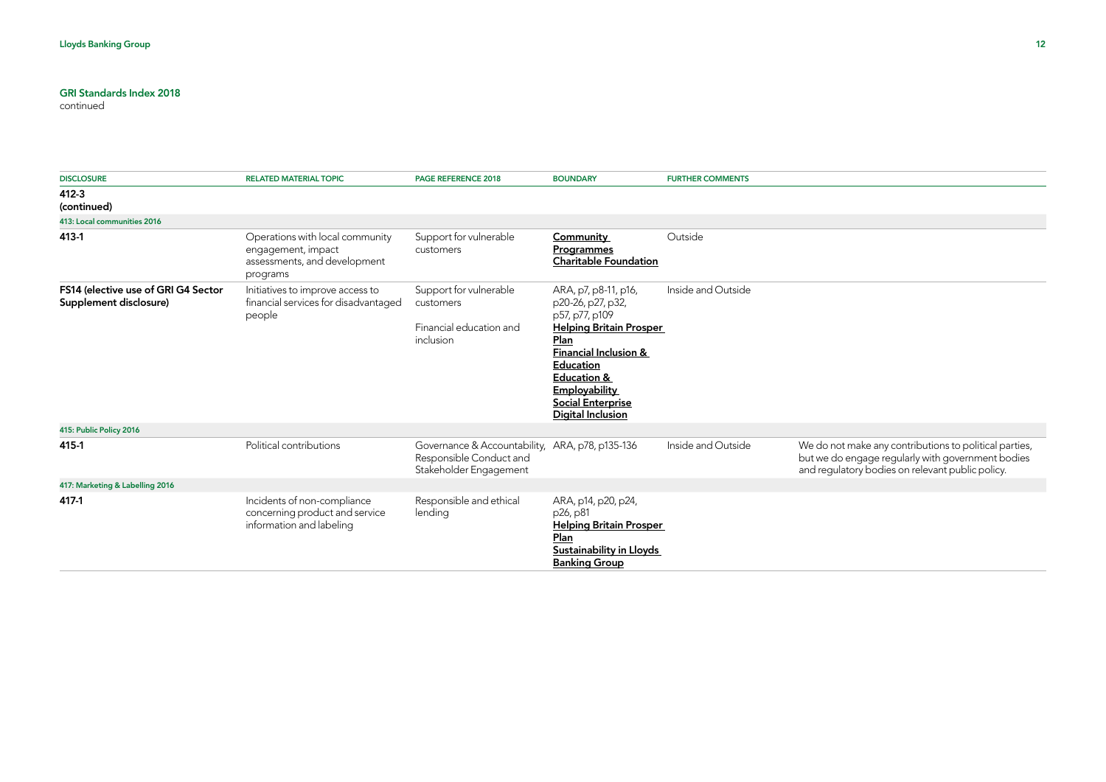| <b>DISCLOSURE</b>                                             | <b>RELATED MATERIAL TOPIC</b>                                                                     | PAGE REFERENCE 2018                                                                                  | <b>BOUNDARY</b>                                                                                                                                                                                                                                           | <b>FURTHER COMMENTS</b> |                                                                                                                                                                 |
|---------------------------------------------------------------|---------------------------------------------------------------------------------------------------|------------------------------------------------------------------------------------------------------|-----------------------------------------------------------------------------------------------------------------------------------------------------------------------------------------------------------------------------------------------------------|-------------------------|-----------------------------------------------------------------------------------------------------------------------------------------------------------------|
| 412-3<br>(continued)                                          |                                                                                                   |                                                                                                      |                                                                                                                                                                                                                                                           |                         |                                                                                                                                                                 |
| 413: Local communities 2016                                   |                                                                                                   |                                                                                                      |                                                                                                                                                                                                                                                           |                         |                                                                                                                                                                 |
| 413-1                                                         | Operations with local community<br>engagement, impact<br>assessments, and development<br>programs | Support for vulnerable<br>customers                                                                  | Community<br>Programmes<br><b>Charitable Foundation</b>                                                                                                                                                                                                   | Outside                 |                                                                                                                                                                 |
| FS14 (elective use of GRI G4 Sector<br>Supplement disclosure) | Initiatives to improve access to<br>financial services for disadvantaged<br>people                | Support for vulnerable<br>customers<br>Financial education and<br>inclusion                          | ARA, p7, p8-11, p16,<br>p20-26, p27, p32,<br>p57, p77, p109<br><b>Helping Britain Prosper</b><br>Plan<br><b>Financial Inclusion &amp;</b><br>Education<br><b>Education &amp;</b><br><b>Employability</b><br><b>Social Enterprise</b><br>Digital Inclusion | Inside and Outside      |                                                                                                                                                                 |
| 415: Public Policy 2016                                       |                                                                                                   |                                                                                                      |                                                                                                                                                                                                                                                           |                         |                                                                                                                                                                 |
| 415-1                                                         | Political contributions                                                                           | Governance & Accountability, ARA, p78, p135-136<br>Responsible Conduct and<br>Stakeholder Engagement |                                                                                                                                                                                                                                                           | Inside and Outside      | We do not make any contributions to political parties,<br>but we do engage regularly with government bodies<br>and regulatory bodies on relevant public policy. |
| 417: Marketing & Labelling 2016                               |                                                                                                   |                                                                                                      |                                                                                                                                                                                                                                                           |                         |                                                                                                                                                                 |
| 417-1                                                         | Incidents of non-compliance<br>concerning product and service<br>information and labeling         | Responsible and ethical<br>lending                                                                   | ARA, p14, p20, p24,<br>p26, p81<br><b>Helping Britain Prosper</b><br>Plan<br><b>Sustainability in Lloyds</b><br><b>Banking Group</b>                                                                                                                      |                         |                                                                                                                                                                 |